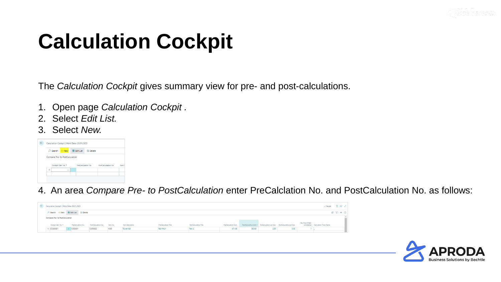

The *Calculation Cockpit* gives summary view for pre- and post-calculations.

- 1. Open page *Calculation Cockpit .*
- 2. Select *Edit List.*
- 3. Select *New.*

|                   |                                 | $\circ$ Search $\frac{1}{2}$ New $\circ$ Edit List | <b>Delete</b><br>而 |                     |
|-------------------|---------------------------------|----------------------------------------------------|--------------------|---------------------|
|                   | Compare Pre- to PostCalculation |                                                    |                    |                     |
|                   |                                 |                                                    |                    |                     |
|                   |                                 |                                                    |                    |                     |
|                   | Cockpit Calc, No. 1             |                                                    | PreCalculation No. | PostCalculation No. |
| $\longrightarrow$ | 1.1.1                           |                                                    |                    |                     |

4. An area *Compare Pre- to PostCalculation* enter PreCalclation No. and PostCalculation No. as follows:

| ← Calculation Cockpit   Work Date: 26.01.2023 |                     |                                         |                     |          |                  |                      | ▽Saved 口 口 x <sup>v</sup> |                     |        |                                                                         |      |                 |                                   |                |
|-----------------------------------------------|---------------------|-----------------------------------------|---------------------|----------|------------------|----------------------|---------------------------|---------------------|--------|-------------------------------------------------------------------------|------|-----------------|-----------------------------------|----------------|
|                                               |                     | ○ Search + New ■ Edit List   iii Delete |                     |          |                  |                      |                           |                     |        |                                                                         |      |                 |                                   | $B Y \equiv 0$ |
| Compare Pre- to PostCalculation               |                     |                                         |                     |          |                  |                      | $\mathbb{A}$<br>п         |                     |        |                                                                         |      |                 |                                   |                |
|                                               | Cockpit Calc, No. 1 | PreCalculation No.                      | PostCalculation No. | Item No. | Item Description | PreCalculation Title | PostCalculation Title     | PreCalculation Cost |        | PostCalculation Cost v PreCalculation Lot Size PostCalculation Lot Size |      | No. Prod. Order | considered Calculation Time Frame |                |
|                                               | CC000001            | $\frac{1}{2}$ C000001                   | C000002             | 1000     | Tourenrad        | Test FHU1            | Test 2                    | 471.46              | 363.80 | 2.00                                                                    | 5.00 |                 |                                   |                |

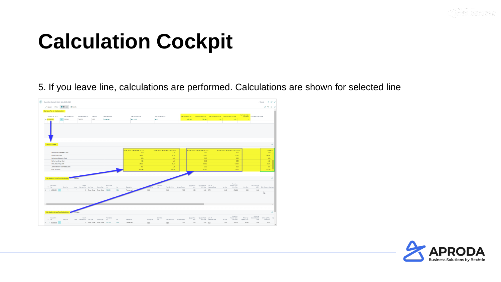

5. If you leave line, calculations are performed. Calculations are shown for selected line



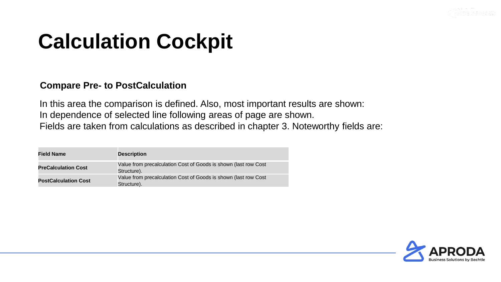

#### **Compare Pre- to PostCalculation**

In this area the comparison is defined. Also, most important results are shown: In dependence of selected line following areas of page are shown. Fields are taken from calculations as described in chapter 3. Noteworthy fields are:

| <b>Field Name</b>           | <b>Description</b>                                                             |
|-----------------------------|--------------------------------------------------------------------------------|
| <b>PreCalculation Cost</b>  | Value from precalculation Cost of Goods is shown (last row Cost<br>Structure). |
| <b>PostCalculation Cost</b> | Value from precalculation Cost of Goods is shown (last row Cost<br>Structure). |